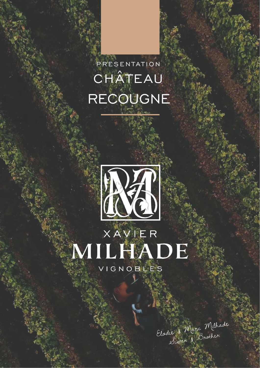# PRESENTATION CHÂTEAU RECOUGNE



# XAVIER MILHADE VIGNOBLES

Eladie & Marc Milhade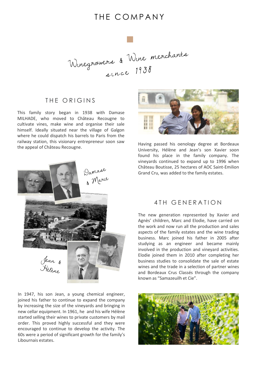## THE COMPANY



#### THE ORIGINS

This family story began in 1938 with Damase MILHADE, who moved to Château Recougne to cultivate vines, make wine and organise their sale himself. Ideally situated near the village of Galgon where he could dispatch his barrels to Paris from the railway station, this visionary entrepreneur soon saw the appeal of Château Recougne.



In 1947, his son Jean, a young chemical engineer, joined his father to continue to expand the company by increasing the size of the vineyards and bringing in new cellar equipment. In 1961, he and his wife Hélène started selling their wines to private customers by mail order. This proved highly successful and they were encouraged to continue to develop the activity. The 60s were a period of significant growth for the family's Libournais estates.



Having passed his oenology degree at Bordeaux University, Hélène and Jean's son Xavier soon found his place in the family company. The vineyards continued to expand up to 1996 when Château Boutisse, 25 hectares of AOC Saint-Emilion Grand Cru, was added to the family estates.

#### 4 TH GENERATION

The new generation represented by Xavier and Agnès' children, Marc and Elodie, have carried on the work and now run all the production and sales aspects of the family estates and the wine trading business. Marc joined his father in 2005 after studying as an engineer and became mainly involved in the production and vineyard activities. Elodie joined them in 2010 after completing her business studies to consolidate the sale of estate wines and the trade in a selection of partner wines and Bordeaux Crus Classés through the company known as "Samazeuilh et Cie".

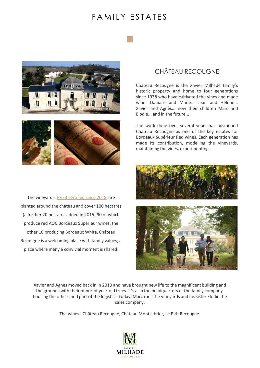## F A M I I Y F S T A T F S





The vineyards, [HVE3 certified](http://www.xavier-milhade-wines.com/earth-connection/#HVE3) since 2018, are planted around the château and cover 100 hectares (a further 20 hectares added in 2015) 90 of which produce red AOC Bordeaux Supérieur wines, the other 10 producing Bordeaux White. Château Recougne is a welcoming place with family values, a place where many a convivial moment is shared.

### CHÂTEAU RECOUGNE

Château Recougne is the Xavier Milhade family's historic property and home to four generations since 1938 who have cultivated the vines and made wine: Damase and Marie... Jean and Hélène... Xavier and Agnès... now their children Marc and Elodie... and in the future...

The work done over several years has positioned Château Recougne as one of the key estates for Bordeaux Supérieur Red wines. Each generation has made its contribution, modelling the vineyards, maintaining the vines, experimenting...





Xavier and Agnès moved back in in 2010 and have brought new life to the magnificent building and the grounds with their hundred-year-old trees. It's also the headquarters of the family company, housing the offices and part of the logistics. Today, Marc runs the vineyards and his sister Elodie the sales company.

The wines : Château Recougne, Château Montcabrier, Le P'tit Recougne.

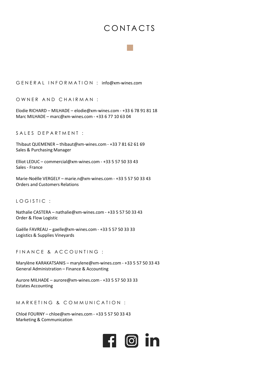# **CONTACTS**

G E N E R A L I N F O R M A T I O N : info@xm-wines.com

OWNER AND CHAIRMAN :

Elodie RICHARD – MILHADE – elodie@xm-wines.com - +33 6 78 91 81 18 Marc MILHADE – marc@xm-wines.com - +33 6 77 10 63 04

SALES DEPARTMENT :

Thibaut QUEMENER – thibaut@xm-wines.com - +33 7 81 62 61 69 Sales & Purchasing Manager

Elliot LEDUC – commercial@xm-wines.com - +33 5 57 50 33 43 Sales - France

Marie-Noëlle VERGELY – marie.n@xm-wines.com - +33 5 57 50 33 43 Orders and Customers Relations

LOGISTIC:

Nathalie CASTERA – nathalie@xm-wines.com - +33 5 57 50 33 43 Order & Flow Logistic

Gaëlle FAVREAU – gaelle@xm-wines.com - +33 5 57 50 33 33 Logistics & Supplies Vineyards

FIN AN CE & ACCOUNTING :

Marylène KARAKATSANIS – marylene@xm-wines.com - +33 5 57 50 33 43 General Administration – Finance & Accounting

Aurore MILHADE – aurore@xm-wines.com - +33 5 57 50 33 33 Estates Accounting

MARKETING & COMMUNICATION :

Chloé FOURNY – chloe@xm-wines.com - +33 5 57 50 33 43 Marketing & Communication